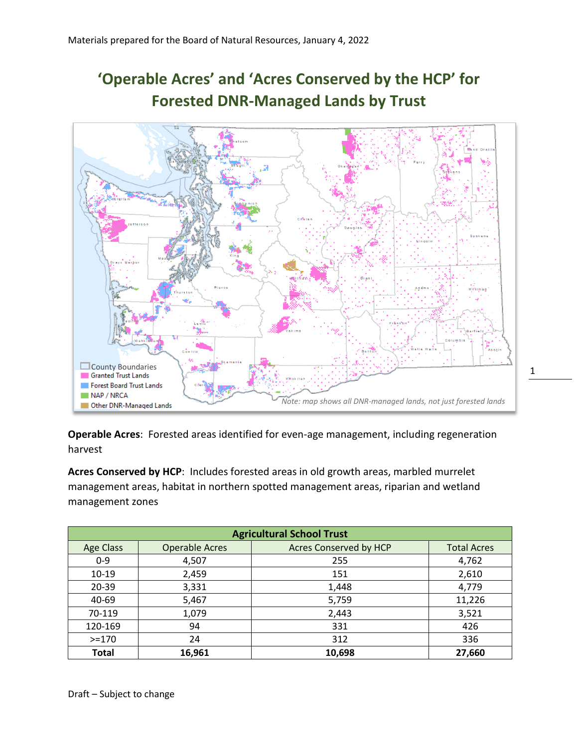## **'Operable Acres' and 'Acres Conserved by the HCP' for Forested DNR-Managed Lands by Trust**



1

**Operable Acres**: Forested areas identified for even-age management, including regeneration harvest

**Acres Conserved by HCP**: Includes forested areas in old growth areas, marbled murrelet management areas, habitat in northern spotted management areas, riparian and wetland management zones

| <b>Agricultural School Trust</b> |                       |                               |                    |  |
|----------------------------------|-----------------------|-------------------------------|--------------------|--|
| <b>Age Class</b>                 | <b>Operable Acres</b> | <b>Acres Conserved by HCP</b> | <b>Total Acres</b> |  |
| $0-9$                            | 4,507                 | 255                           | 4,762              |  |
| $10-19$                          | 2,459                 | 151                           | 2,610              |  |
| 20-39                            | 3,331                 | 1,448                         | 4,779              |  |
| 40-69                            | 5,467                 | 5,759                         | 11,226             |  |
| 70-119                           | 1,079                 | 2,443                         | 3,521              |  |
| 120-169                          | 94                    | 331                           | 426                |  |
| $>=170$                          | 24                    | 312                           | 336                |  |
| <b>Total</b>                     | 16,961                | 10,698                        | 27,660             |  |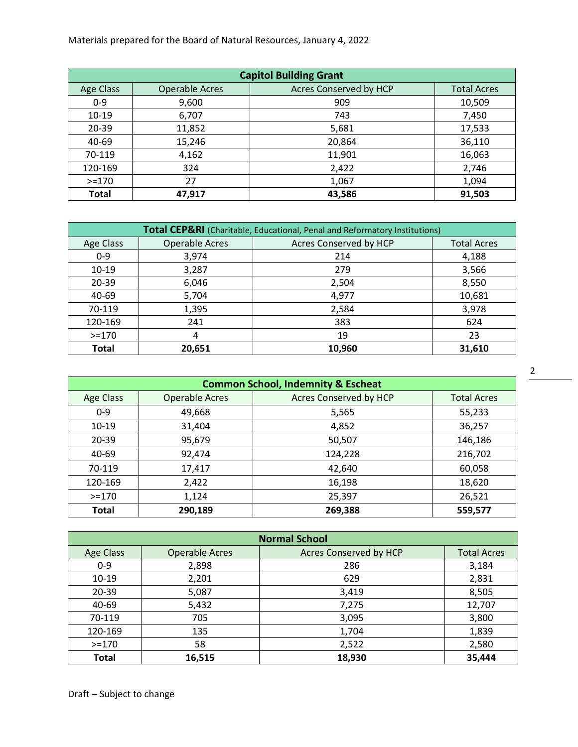Materials prepared for the Board of Natural Resources, January 4, 2022

| <b>Capitol Building Grant</b> |                       |                        |                    |
|-------------------------------|-----------------------|------------------------|--------------------|
| Age Class                     | <b>Operable Acres</b> | Acres Conserved by HCP | <b>Total Acres</b> |
| $0 - 9$                       | 9,600                 | 909                    | 10,509             |
| $10 - 19$                     | 6,707                 | 743                    | 7,450              |
| $20 - 39$                     | 11,852                | 5,681                  | 17,533             |
| 40-69                         | 15,246                | 20,864                 | 36,110             |
| 70-119                        | 4,162                 | 11,901                 | 16,063             |
| 120-169                       | 324                   | 2,422                  | 2,746              |
| $> = 170$                     | 27                    | 1,067                  | 1,094              |
| <b>Total</b>                  | 47,917                | 43,586                 | 91,503             |

| <b>Total CEP&amp;RI</b> (Charitable, Educational, Penal and Reformatory Institutions) |                       |                        |                    |  |
|---------------------------------------------------------------------------------------|-----------------------|------------------------|--------------------|--|
| Age Class                                                                             | <b>Operable Acres</b> | Acres Conserved by HCP | <b>Total Acres</b> |  |
| $0 - 9$                                                                               | 3,974                 | 214                    | 4,188              |  |
| $10-19$                                                                               | 3,287                 | 279                    | 3,566              |  |
| 20-39                                                                                 | 6,046                 | 2,504                  | 8,550              |  |
| 40-69                                                                                 | 5,704                 | 4,977                  | 10,681             |  |
| 70-119                                                                                | 1,395                 | 2,584                  | 3,978              |  |
| 120-169                                                                               | 241                   | 383                    | 624                |  |
| $>=170$                                                                               | 4                     | 19                     | 23                 |  |
| <b>Total</b>                                                                          | 20,651                | 10,960                 | 31,610             |  |

| <b>Common School, Indemnity &amp; Escheat</b> |                       |                               |                    |
|-----------------------------------------------|-----------------------|-------------------------------|--------------------|
| <b>Age Class</b>                              | <b>Operable Acres</b> | <b>Acres Conserved by HCP</b> | <b>Total Acres</b> |
| $0 - 9$                                       | 49,668                | 5,565                         | 55,233             |
| $10-19$                                       | 31,404                | 4,852                         | 36,257             |
| $20 - 39$                                     | 95,679                | 50,507                        | 146,186            |
| 40-69                                         | 92,474                | 124,228                       | 216,702            |
| 70-119                                        | 17,417                | 42,640                        | 60,058             |
| 120-169                                       | 2,422                 | 16,198                        | 18,620             |
| $>=170$                                       | 1,124                 | 25,397                        | 26,521             |
| <b>Total</b>                                  | 290,189               | 269,388                       | 559,577            |

| <b>Normal School</b> |                       |                               |                    |
|----------------------|-----------------------|-------------------------------|--------------------|
| Age Class            | <b>Operable Acres</b> | <b>Acres Conserved by HCP</b> | <b>Total Acres</b> |
| $0 - 9$              | 2,898                 | 286                           | 3,184              |
| $10-19$              | 2,201                 | 629                           | 2,831              |
| $20 - 39$            | 5,087                 | 3,419                         | 8,505              |
| 40-69                | 5,432                 | 7,275                         | 12,707             |
| 70-119               | 705                   | 3,095                         | 3,800              |
| 120-169              | 135                   | 1,704                         | 1,839              |
| $> = 170$            | 58                    | 2,522                         | 2,580              |
| <b>Total</b>         | 16,515                | 18,930                        | 35,444             |